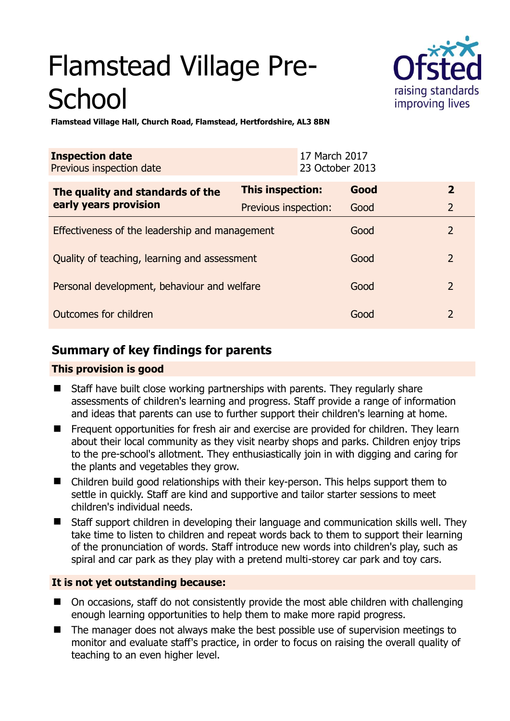# Flamstead Village Pre-**School**



**Flamstead Village Hall, Church Road, Flamstead, Hertfordshire, AL3 8BN** 

| <b>Inspection date</b><br>Previous inspection date        | 17 March 2017<br>23 October 2013 |      |                |
|-----------------------------------------------------------|----------------------------------|------|----------------|
| The quality and standards of the<br>early years provision | <b>This inspection:</b>          | Good | $\mathbf{2}$   |
|                                                           | Previous inspection:             | Good | $\overline{2}$ |
| Effectiveness of the leadership and management            |                                  | Good | $\overline{2}$ |
| Quality of teaching, learning and assessment              |                                  | Good | $\mathcal{P}$  |
| Personal development, behaviour and welfare               |                                  | Good | $\overline{2}$ |
| Outcomes for children                                     |                                  | Good | $\overline{2}$ |

# **Summary of key findings for parents**

## **This provision is good**

- Staff have built close working partnerships with parents. They regularly share assessments of children's learning and progress. Staff provide a range of information and ideas that parents can use to further support their children's learning at home.
- Frequent opportunities for fresh air and exercise are provided for children. They learn about their local community as they visit nearby shops and parks. Children enjoy trips to the pre-school's allotment. They enthusiastically join in with digging and caring for the plants and vegetables they grow.
- Children build good relationships with their key-person. This helps support them to settle in quickly. Staff are kind and supportive and tailor starter sessions to meet children's individual needs.
- Staff support children in developing their language and communication skills well. They take time to listen to children and repeat words back to them to support their learning of the pronunciation of words. Staff introduce new words into children's play, such as spiral and car park as they play with a pretend multi-storey car park and toy cars.

## **It is not yet outstanding because:**

- On occasions, staff do not consistently provide the most able children with challenging enough learning opportunities to help them to make more rapid progress.
- The manager does not always make the best possible use of supervision meetings to monitor and evaluate staff's practice, in order to focus on raising the overall quality of teaching to an even higher level.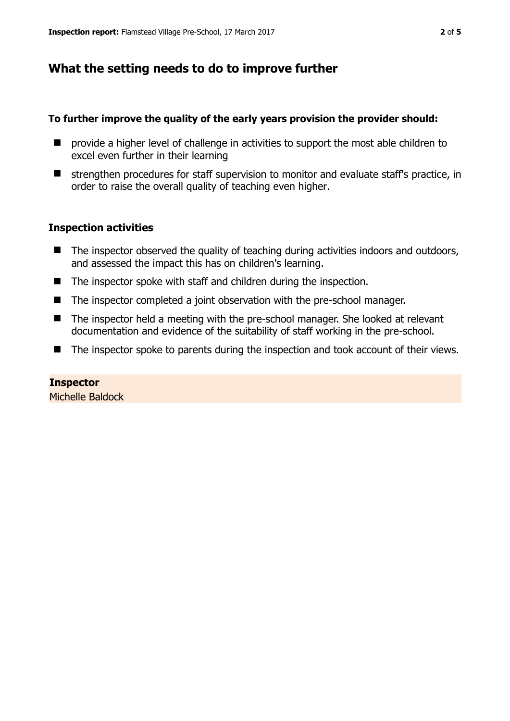# **What the setting needs to do to improve further**

#### **To further improve the quality of the early years provision the provider should:**

- **E** provide a higher level of challenge in activities to support the most able children to excel even further in their learning
- strengthen procedures for staff supervision to monitor and evaluate staff's practice, in order to raise the overall quality of teaching even higher.

#### **Inspection activities**

- $\blacksquare$  The inspector observed the quality of teaching during activities indoors and outdoors, and assessed the impact this has on children's learning.
- The inspector spoke with staff and children during the inspection.
- The inspector completed a joint observation with the pre-school manager.
- The inspector held a meeting with the pre-school manager. She looked at relevant documentation and evidence of the suitability of staff working in the pre-school.
- The inspector spoke to parents during the inspection and took account of their views.

#### **Inspector**  Michelle Baldock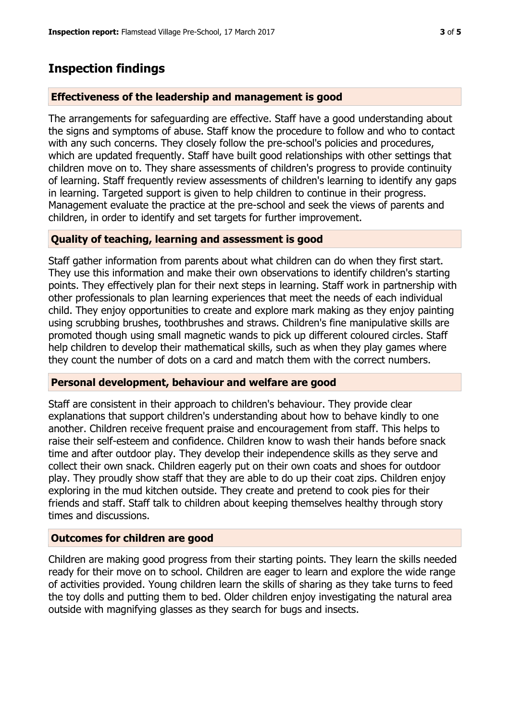## **Inspection findings**

#### **Effectiveness of the leadership and management is good**

The arrangements for safeguarding are effective. Staff have a good understanding about the signs and symptoms of abuse. Staff know the procedure to follow and who to contact with any such concerns. They closely follow the pre-school's policies and procedures, which are updated frequently. Staff have built good relationships with other settings that children move on to. They share assessments of children's progress to provide continuity of learning. Staff frequently review assessments of children's learning to identify any gaps in learning. Targeted support is given to help children to continue in their progress. Management evaluate the practice at the pre-school and seek the views of parents and children, in order to identify and set targets for further improvement.

#### **Quality of teaching, learning and assessment is good**

Staff gather information from parents about what children can do when they first start. They use this information and make their own observations to identify children's starting points. They effectively plan for their next steps in learning. Staff work in partnership with other professionals to plan learning experiences that meet the needs of each individual child. They enjoy opportunities to create and explore mark making as they enjoy painting using scrubbing brushes, toothbrushes and straws. Children's fine manipulative skills are promoted though using small magnetic wands to pick up different coloured circles. Staff help children to develop their mathematical skills, such as when they play games where they count the number of dots on a card and match them with the correct numbers.

#### **Personal development, behaviour and welfare are good**

Staff are consistent in their approach to children's behaviour. They provide clear explanations that support children's understanding about how to behave kindly to one another. Children receive frequent praise and encouragement from staff. This helps to raise their self-esteem and confidence. Children know to wash their hands before snack time and after outdoor play. They develop their independence skills as they serve and collect their own snack. Children eagerly put on their own coats and shoes for outdoor play. They proudly show staff that they are able to do up their coat zips. Children enjoy exploring in the mud kitchen outside. They create and pretend to cook pies for their friends and staff. Staff talk to children about keeping themselves healthy through story times and discussions.

#### **Outcomes for children are good**

Children are making good progress from their starting points. They learn the skills needed ready for their move on to school. Children are eager to learn and explore the wide range of activities provided. Young children learn the skills of sharing as they take turns to feed the toy dolls and putting them to bed. Older children enjoy investigating the natural area outside with magnifying glasses as they search for bugs and insects.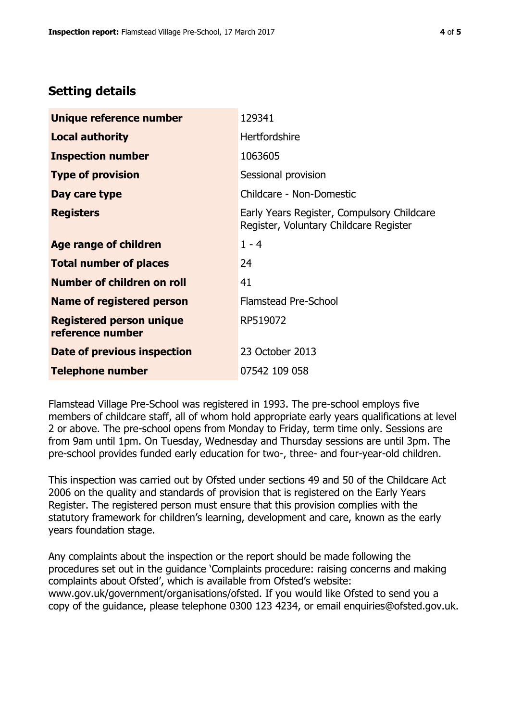# **Setting details**

| Unique reference number                             | 129341                                                                               |  |
|-----------------------------------------------------|--------------------------------------------------------------------------------------|--|
| <b>Local authority</b>                              | <b>Hertfordshire</b>                                                                 |  |
| <b>Inspection number</b>                            | 1063605                                                                              |  |
| <b>Type of provision</b>                            | Sessional provision                                                                  |  |
| Day care type                                       | Childcare - Non-Domestic                                                             |  |
| <b>Registers</b>                                    | Early Years Register, Compulsory Childcare<br>Register, Voluntary Childcare Register |  |
| Age range of children                               | $1 - 4$                                                                              |  |
| <b>Total number of places</b>                       | 24                                                                                   |  |
| Number of children on roll                          | 41                                                                                   |  |
| Name of registered person                           | Flamstead Pre-School                                                                 |  |
| <b>Registered person unique</b><br>reference number | RP519072                                                                             |  |
| <b>Date of previous inspection</b>                  | 23 October 2013                                                                      |  |
| <b>Telephone number</b>                             | 07542 109 058                                                                        |  |

Flamstead Village Pre-School was registered in 1993. The pre-school employs five members of childcare staff, all of whom hold appropriate early years qualifications at level 2 or above. The pre-school opens from Monday to Friday, term time only. Sessions are from 9am until 1pm. On Tuesday, Wednesday and Thursday sessions are until 3pm. The pre-school provides funded early education for two-, three- and four-year-old children.

This inspection was carried out by Ofsted under sections 49 and 50 of the Childcare Act 2006 on the quality and standards of provision that is registered on the Early Years Register. The registered person must ensure that this provision complies with the statutory framework for children's learning, development and care, known as the early years foundation stage.

Any complaints about the inspection or the report should be made following the procedures set out in the guidance 'Complaints procedure: raising concerns and making complaints about Ofsted', which is available from Ofsted's website: www.gov.uk/government/organisations/ofsted. If you would like Ofsted to send you a copy of the guidance, please telephone 0300 123 4234, or email enquiries@ofsted.gov.uk.